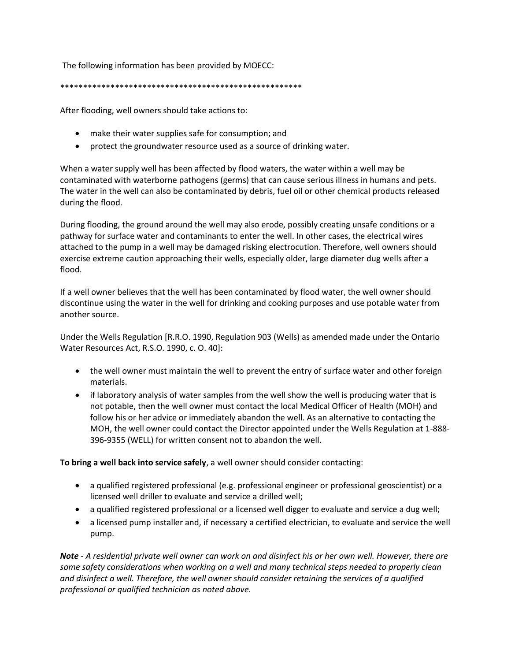The following information has been provided by MOECC:

## \*\*\*\*\*\*\*\*\*\*\*\*\*\*\*\*\*\*\*\*\*\*\*\*\*\*\*\*\*\*\*\*\*\*\*\*\*\*\*\*\*\*\*\*\*\*\*\*\*\*\*\*\*

After flooding, well owners should take actions to:

- make their water supplies safe for consumption; and
- protect the groundwater resource used as a source of drinking water.

When a water supply well has been affected by flood waters, the water within a well may be contaminated with waterborne pathogens (germs) that can cause serious illness in humans and pets. The water in the well can also be contaminated by debris, fuel oil or other chemical products released during the flood.

During flooding, the ground around the well may also erode, possibly creating unsafe conditions or a pathway for surface water and contaminants to enter the well. In other cases, the electrical wires attached to the pump in a well may be damaged risking electrocution. Therefore, well owners should exercise extreme caution approaching their wells, especially older, large diameter dug wells after a flood.

If a well owner believes that the well has been contaminated by flood water, the well owner should discontinue using the water in the well for drinking and cooking purposes and use potable water from another source.

Under the Wells Regulation [R.R.O. 1990, Regulation 903 (Wells) as amended made under the Ontario Water Resources Act, R.S.O. 1990, c. O. 40]:

- the well owner must maintain the well to prevent the entry of surface water and other foreign materials.
- if laboratory analysis of water samples from the well show the well is producing water that is not potable, then the well owner must contact the local Medical Officer of Health (MOH) and follow his or her advice or immediately abandon the well. As an alternative to contacting the MOH, the well owner could contact the Director appointed under the Wells Regulation at 1-888- 396-9355 (WELL) for written consent not to abandon the well.

**To bring a well back into service safely**, a well owner should consider contacting:

- a qualified registered professional (e.g. professional engineer or professional geoscientist) or a licensed well driller to evaluate and service a drilled well;
- a qualified registered professional or a licensed well digger to evaluate and service a dug well;
- a licensed pump installer and, if necessary a certified electrician, to evaluate and service the well pump.

*Note - A residential private well owner can work on and disinfect his or her own well. However, there are some safety considerations when working on a well and many technical steps needed to properly clean and disinfect a well. Therefore, the well owner should consider retaining the services of a qualified professional or qualified technician as noted above.*